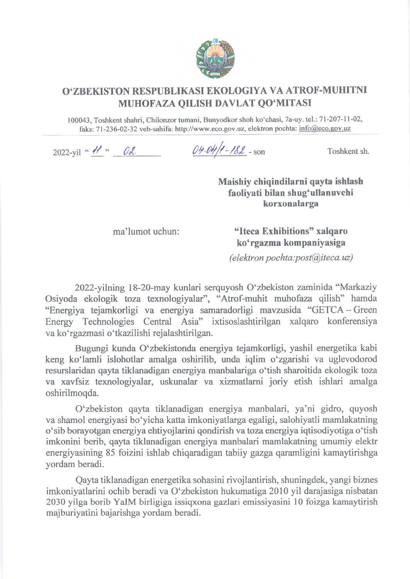

## **OZBEKISTON RESPUBLIKASIEKOLOGIYA YA ATROF-MUHITNI MUHOFAZA QILISH DAVEAT QO'MITASI**

**100043, Toshkent shahri, Chilonzor tumani, Bunyodkor shoh ko'chasi, 7a-uy. tel.: 71-207-11-02, faks: 71-236-02-32 veb-sahifa: [http://www.eco.gov.uz,](http://www.eco.gov.uz) elektron pochta: [info@eco.gov.uz](mailto:info@eco.gov.uz)**

2022-yil " <u>*H* " OL *OH-M/1-182* - son</u> Toshkent sh.

**Maishiy chiqindilarni qayta ishlash faoliyati bilan shug'ullanuvchi korxonalarga**

ma'lumot uchun: **"Iteca Exhibitions" xalqaro ko'rgazma kompaniyasiga**

*(elektron pochta:[post@iteca.nz\)](mailto:post@iteca.nz)*

2022-yilning 18-20-may kunlari serquyosh O'zbekiston zaminida "Markaziy Osiyoda ekologik toza texnologiyalar", "Atrof-muhit muhofaza qilish" hamda "Energiya tejamkorligi va energiya samaradorligi mavzusida "GETCA-Green Energy Technologies Central Asia" ixtisoslashtirilgan xalqaro konferensiya va ko'rgazmasi o'tkazilishi rejalashtirilgan.

Bugungi kunda O'zbekistonda energiya tejamkorligi, yashil energetika kabi keng ko'lamli islohotlar amalga oshirilib, unda iqlim o'zgarishi va uglevodorod resurslaridan qayta tiklanadigan energiya manbalariga o'tish sharoitida ekologik toza va xavfsiz texnologiyalar, uskunalar va xizmatlami joriy etish ishlari amalga oshirilmoqda.

0 'zbekiston qayta tiklanadigan energiya manbalari, ya'ni gidro, quyosh va shamol energiyasi bo'yicha katta imkoniyatlarga egaligi, salohiyatli mamlakatning o'sib borayotgan energiya ehtiyojlarini qondirish va toza energiya iqtisodiyotiga o'tish imkonini berib, qayta tiklanadigan energiya manbalari mamlakatning umumiy elektr energiyasining 85 foizini ishlab chiqaradigan tabiiy gazga qaramligini kamaytirishga yordam beradi.

Qayta tiklanadigan energetika sohasini rivojlantirish, shuningdek, yangi biznes imkoniyatlarini ochib beradi va 0 'zbekiston hukumatiga 2010 yil darajasiga nisbatan 2030 yilga borib YalM birligiga issiqxona gazlari emissiyasini 10 foizga kamaytirish majburiyatini bajarishga yordam beradi.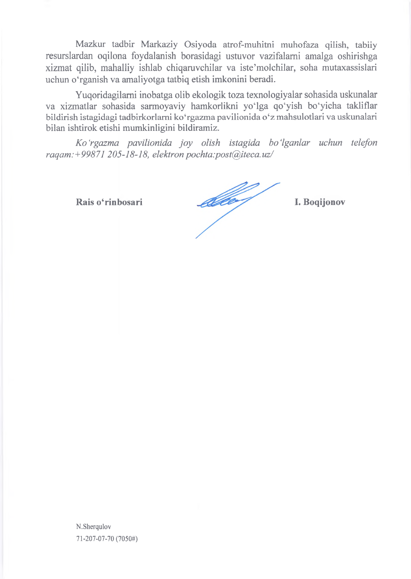Mazkur tadbir Markaziy Osiyoda atrof-muhitni muhofaza qilish, tabiiy resurslardan oqilona foydalanish borasidagi ustuvor vazifalami amalga oshirishga xizmat qilib, mahalliy ishlab chiqaruvchilar va iste'molchilar, soha mutaxassislari uchun o'rganish va amaliyotga tatbiq etish imkonini beradi.

Yuqoridagilami inobatga olib ekologik toza texnologiyalar sohasida uskunalar va xizmatlar sohasida sarmoyaviy hamkorlikni yo'lga qo'yish bo'yicha takliflar bildirish istagidagi tadbirkorlami ko'rgazma pavilionida o'z mahsulotlari va uskunalari bilan ishtirok etishi mumkinligini bildiramiz.

*Ko'rgazma pavilionida joy olish istagida bo'lganlar uchun telefon raqam:+99871205-18-18, elektron pochta:post@iteca. uz/*

**Rais o'rinbosari I. Boqijonov**

**N.Sherqulov 71-207-07-70 (7050#)**